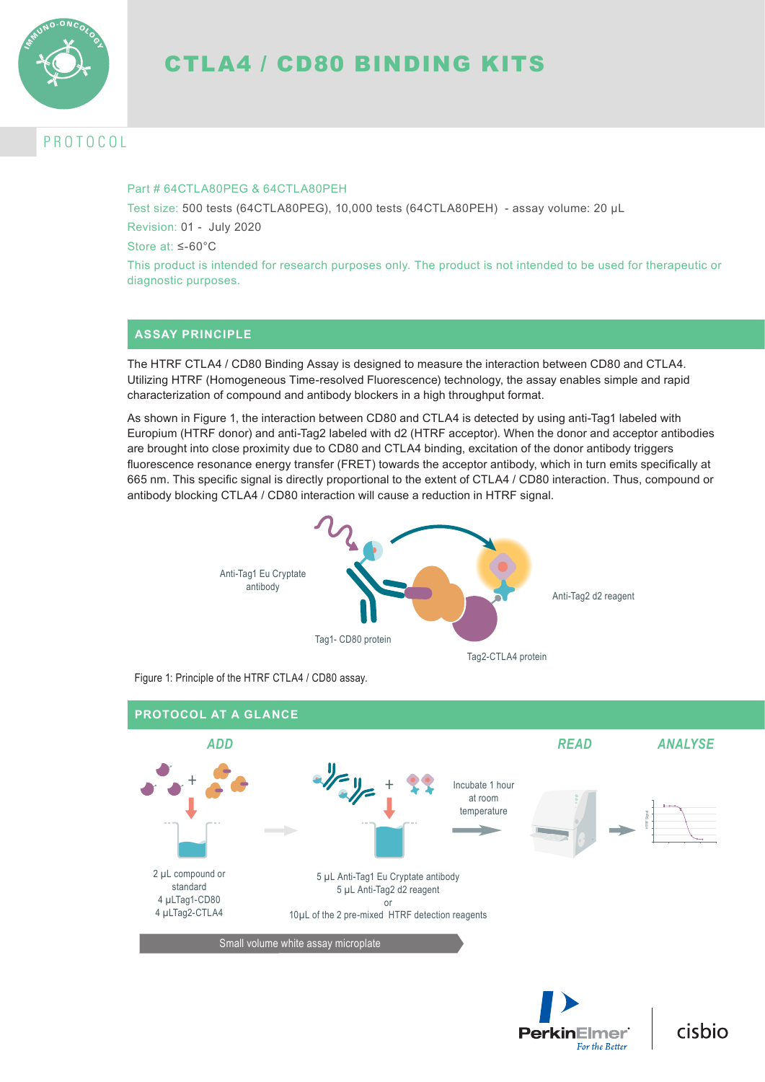

# CTLA4 / CD80 BINDING KITS

# P R O T O C O L

### Part # 64CTLA80PFG & 64CTLA80PFH

Test size: 500 tests (64CTLA80PEG), 10,000 tests (64CTLA80PEH) - assay volume: 20 µL Revision: 01 - July 2020

Store at: ≤-60°C

This product is intended for research purposes only. The product is not intended to be used for therapeutic or diagnostic purposes.

## **ASSAY PRINCIPLE**

The HTRF CTLA4 / CD80 Binding Assay is designed to measure the interaction between CD80 and CTLA4. Utilizing HTRF (Homogeneous Time-resolved Fluorescence) technology, the assay enables simple and rapid characterization of compound and antibody blockers in a high throughput format.

As shown in Figure 1, the interaction between CD80 and CTLA4 is detected by using anti-Tag1 labeled with Europium (HTRF donor) and anti-Tag2 labeled with d2 (HTRF acceptor). When the donor and acceptor antibodies are brought into close proximity due to CD80 and CTLA4 binding, excitation of the donor antibody triggers fluorescence resonance energy transfer (FRET) towards the acceptor antibody, which in turn emits specifically at 665 nm. This specific signal is directly proportional to the extent of CTLA4 / CD80 interaction. Thus, compound or antibody blocking CTLA4 / CD80 interaction will cause a reduction in HTRF signal.



Figure 1: Principle of the HTRF CTLA4 / CD80 assay.



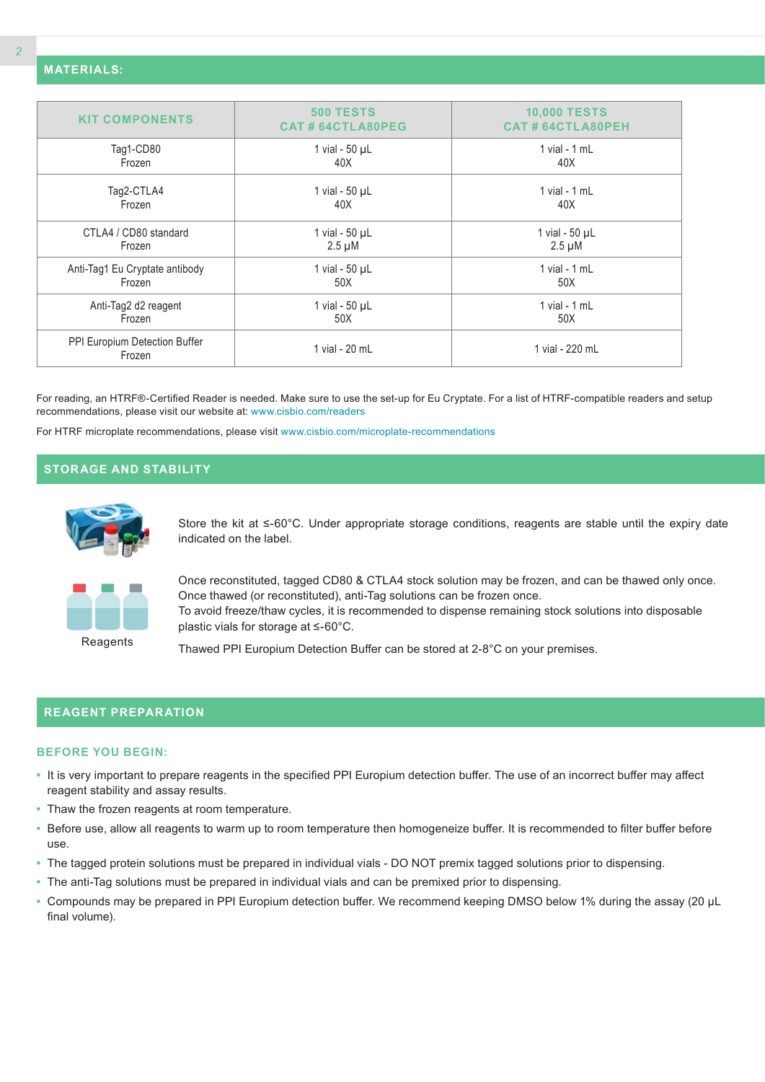| <b>KIT COMPONENTS</b>                   | <b>500 TESTS</b><br>CAT#64CTLA80PEG | <b>10,000 TESTS</b><br><b>CAT#64CTLA80PEH</b> |
|-----------------------------------------|-------------------------------------|-----------------------------------------------|
|                                         |                                     |                                               |
| Tag1-CD80                               | 1 vial - $50 \mu L$                 | 1 vial - 1 mL                                 |
| Frozen                                  | 40X                                 | 40X                                           |
| Tag2-CTLA4                              | 1 vial - $50 \mu L$                 | 1 vial - $1$ mL                               |
| Frozen                                  | 40X                                 | 40X                                           |
| CTLA4 / CD80 standard                   | 1 vial - 50 µL                      | 1 vial - $50 \mu L$                           |
| Frozen                                  | $2.5 \mu M$                         | $2.5 \mu M$                                   |
| Anti-Tag1 Eu Cryptate antibody          | 1 vial - $50 \mu L$                 | 1 vial - $1$ mL                               |
| Frozen                                  | 50X                                 | 50X                                           |
| Anti-Tag2 d2 reagent                    | 1 vial - $50 \mu L$                 | 1 vial - 1 mL                                 |
| Frozen                                  | 50X                                 | 50X                                           |
| PPI Europium Detection Buffer<br>Frozen | 1 vial - 20 mL                      | 1 vial - 220 mL                               |
|                                         |                                     |                                               |

For reading, an HTRF®-Certified Reader is needed. Make sure to use the set-up for Eu Cryptate. For a list of HTRF-compatible readers and setup recommendations, please visit our website at: www.cisbio.com/readers

For HTRF microplate recommendations, please visit www.cisbio.com/microplate-recommendations

## **STORAGE AND STABILITY**



Store the kit at ≤-60°C. Under appropriate storage conditions, reagents are stable until the expiry date indicated on the label.



Once reconstituted, tagged CD80 & CTLA4 stock solution may be frozen, and can be thawed only once. Once thawed (or reconstituted), anti-Tag solutions can be frozen once. To avoid freeze/thaw cycles, it is recommended to dispense remaining stock solutions into disposable plastic vials for storage at ≤-60°C.

**Reagents** 

Thawed PPI Europium Detection Buffer can be stored at 2-8°C on your premises.

## **REAGENT PREPARATION**

#### **BEFORE YOU BEGIN:**

- **•** It is very important to prepare reagents in the specified PPI Europium detection buffer. The use of an incorrect buffer may affect reagent stability and assay results.
- **•** Thaw the frozen reagents at room temperature.
- **•** Before use, allow all reagents to warm up to room temperature then homogeneize buffer. It is recommended to filter buffer before use.
- **•** The tagged protein solutions must be prepared in individual vials DO NOT premix tagged solutions prior to dispensing.
- **•** The anti-Tag solutions must be prepared in individual vials and can be premixed prior to dispensing.
- **•** Compounds may be prepared in PPI Europium detection buffer. We recommend keeping DMSO below 1% during the assay (20 µL final volume).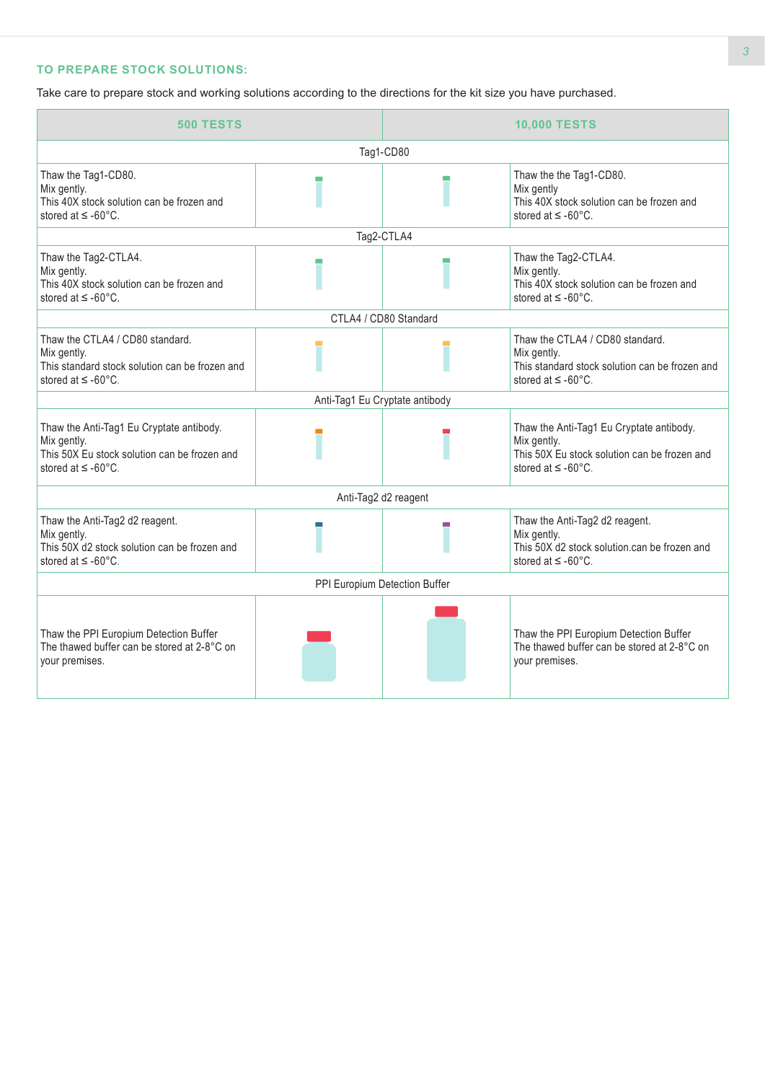## **TO PREPARE STOCK SOLUTIONS:**

Take care to prepare stock and working solutions according to the directions for the kit size you have purchased.

| <b>500 TESTS</b>                                                                                                                       |  | <b>10,000 TESTS</b>                                                                                           |                                                                                                                                               |  |  |  |
|----------------------------------------------------------------------------------------------------------------------------------------|--|---------------------------------------------------------------------------------------------------------------|-----------------------------------------------------------------------------------------------------------------------------------------------|--|--|--|
| Tag1-CD80                                                                                                                              |  |                                                                                                               |                                                                                                                                               |  |  |  |
| Thaw the Tag1-CD80.<br>Mix gently.<br>This 40X stock solution can be frozen and<br>stored at $\leq$ -60°C.                             |  | Thaw the the Tag1-CD80.<br>Mix gently<br>This 40X stock solution can be frozen and<br>stored at $\leq$ -60°C. |                                                                                                                                               |  |  |  |
|                                                                                                                                        |  | Tag2-CTLA4                                                                                                    |                                                                                                                                               |  |  |  |
| Thaw the Tag2-CTLA4.<br>Mix gently.<br>This 40X stock solution can be frozen and<br>stored at $\leq$ -60 $^{\circ}$ C.                 |  |                                                                                                               | Thaw the Tag2-CTLA4.<br>Mix gently.<br>This 40X stock solution can be frozen and<br>stored at $\leq$ -60 $^{\circ}$ C.                        |  |  |  |
|                                                                                                                                        |  | CTLA4 / CD80 Standard                                                                                         |                                                                                                                                               |  |  |  |
| Thaw the CTLA4 / CD80 standard.<br>Mix gently.<br>This standard stock solution can be frozen and<br>stored at $\leq$ -60 $^{\circ}$ C. |  |                                                                                                               | Thaw the CTLA4 / CD80 standard.<br>Mix gently.<br>This standard stock solution can be frozen and<br>stored at $\leq$ -60°C.                   |  |  |  |
|                                                                                                                                        |  | Anti-Tag1 Eu Cryptate antibody                                                                                |                                                                                                                                               |  |  |  |
| Thaw the Anti-Tag1 Eu Cryptate antibody.<br>Mix gently.<br>This 50X Eu stock solution can be frozen and<br>stored at $\leq$ -60°C.     |  |                                                                                                               | Thaw the Anti-Tag1 Eu Cryptate antibody.<br>Mix gently.<br>This 50X Eu stock solution can be frozen and<br>stored at $\leq$ -60 $^{\circ}$ C. |  |  |  |
|                                                                                                                                        |  | Anti-Tag2 d2 reagent                                                                                          |                                                                                                                                               |  |  |  |
| Thaw the Anti-Tag2 d2 reagent.<br>Mix gently.<br>This 50X d2 stock solution can be frozen and<br>stored at $\leq$ -60°C.               |  |                                                                                                               | Thaw the Anti-Tag2 d2 reagent.<br>Mix gently.<br>This 50X d2 stock solution.can be frozen and<br>stored at $\leq$ -60 $^{\circ}$ C.           |  |  |  |
| PPI Europium Detection Buffer                                                                                                          |  |                                                                                                               |                                                                                                                                               |  |  |  |
| Thaw the PPI Europium Detection Buffer<br>The thawed buffer can be stored at 2-8°C on<br>your premises.                                |  |                                                                                                               | Thaw the PPI Europium Detection Buffer<br>The thawed buffer can be stored at 2-8°C on<br>your premises.                                       |  |  |  |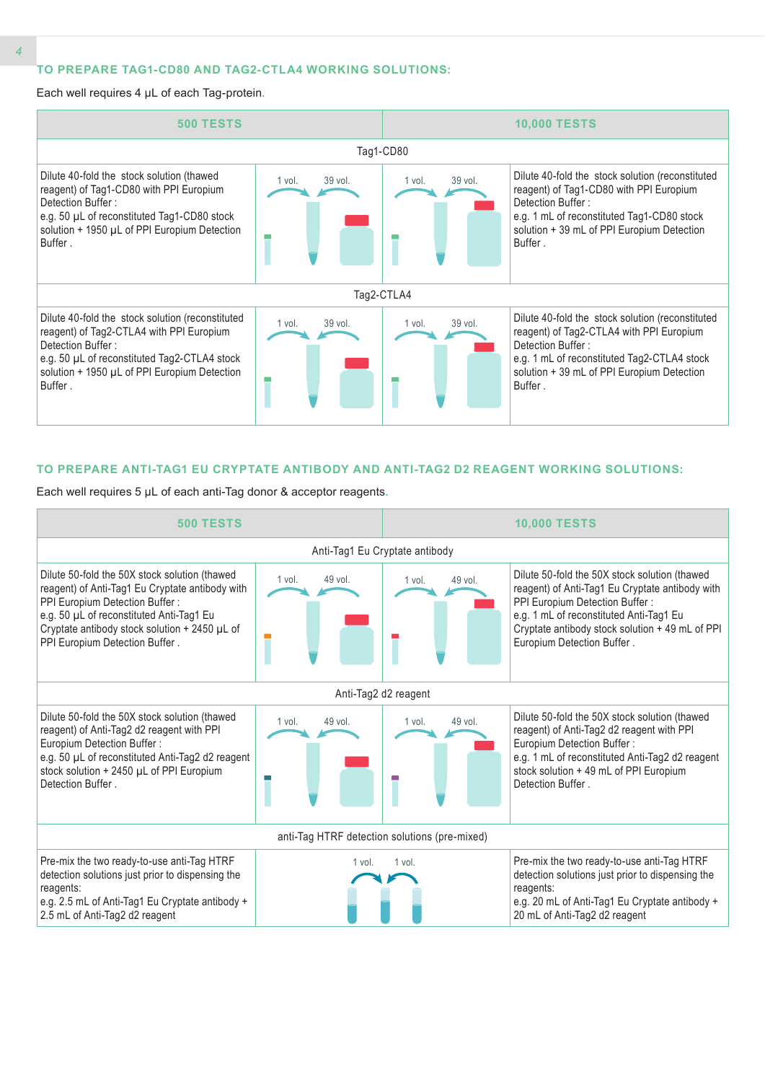#### **TO PREPARE TAG1-CD80 AND TAG2-CTLA4 WORKING SOLUTIONS:**

Each well requires 4 µL of each Tag-protein.



#### **TO PREPARE ANTI-TAG1 EU CRYPTATE ANTIBODY AND ANTI-TAG2 D2 REAGENT WORKING SOLUTIONS:**

Each well requires 5 µL of each anti-Tag donor & acceptor reagents.

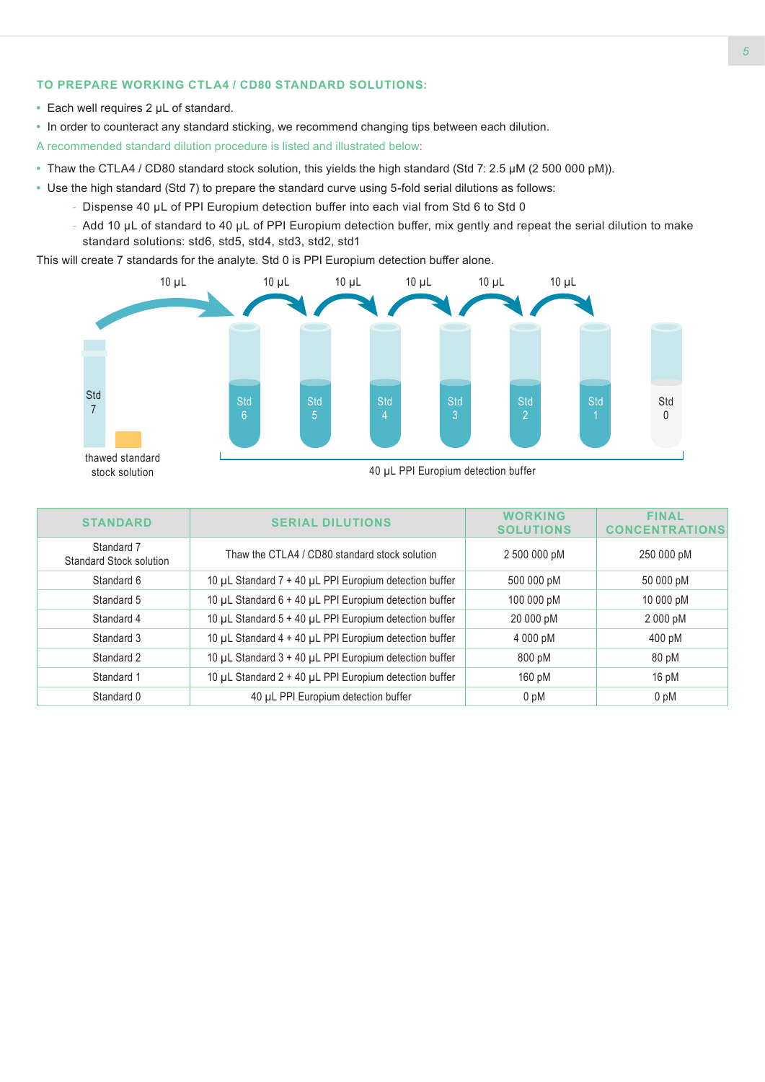## **TO PREPARE WORKING CTLA4 / CD80 STANDARD SOLUTIONS:**

- **•** Each well requires 2 µL of standard.
- **•** In order to counteract any standard sticking, we recommend changing tips between each dilution.

A recommended standard dilution procedure is listed and illustrated below:

- **•** Thaw the CTLA4 / CD80 standard stock solution, this yields the high standard (Std 7: 2.5 µM (2 500 000 pM)).
- **•** Use the high standard (Std 7) to prepare the standard curve using 5-fold serial dilutions as follows:
	- Dispense 40 µL of PPI Europium detection buffer into each vial from Std 6 to Std 0
	- Add 10 µL of standard to 40 µL of PPI Europium detection buffer, mix gently and repeat the serial dilution to make standard solutions: std6, std5, std4, std3, std2, std1

This will create 7 standards for the analyte. Std 0 is PPI Europium detection buffer alone.



| <b>STANDARD</b>                              | <b>SERIAL DILUTIONS</b>                                | <b>WORKING</b><br><b>SOLUTIONS</b> | <b>FINAL</b><br>CONCENTR |
|----------------------------------------------|--------------------------------------------------------|------------------------------------|--------------------------|
| Standard 7<br><b>Standard Stock solution</b> | Thaw the CTLA4 / CD80 standard stock solution          | 2 500 000 pM                       | 250 000 pM               |
| Standard 6                                   | 10 µL Standard 7 + 40 µL PPI Europium detection buffer | 500 000 pM                         | 50 000 pM                |
| Standard 5                                   | 10 µL Standard 6 + 40 µL PPI Europium detection buffer | 100 000 pM                         | 10 000 pM                |
| Standard 4                                   | 10 µL Standard 5 + 40 µL PPI Europium detection buffer | 20 000 pM                          | 2 000 pM                 |
| Standard 3                                   | 10 µL Standard 4 + 40 µL PPI Europium detection buffer | 4 000 pM                           | 400 pM                   |
| Standard 2                                   | 10 µL Standard 3 + 40 µL PPI Europium detection buffer | 800 pM                             | 80 pM                    |
| Standard 1                                   | 10 µL Standard 2 + 40 µL PPI Europium detection buffer | 160 pM                             | 16 pM                    |
| Standard 0                                   | 40 µL PPI Europium detection buffer                    | 0 <sub>pM</sub>                    | 0 pM                     |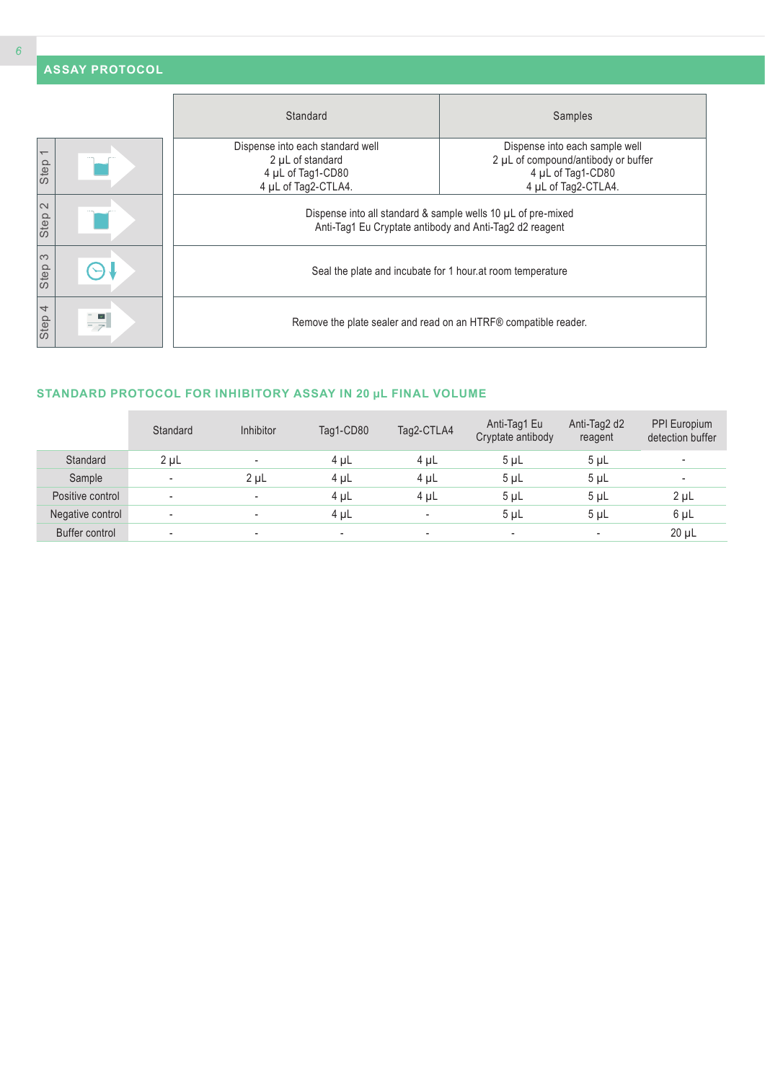|                                  | <b>ASSAY PROTOCOL</b> |                                                                                                                         |                                                                                                                   |  |  |  |  |  |
|----------------------------------|-----------------------|-------------------------------------------------------------------------------------------------------------------------|-------------------------------------------------------------------------------------------------------------------|--|--|--|--|--|
|                                  |                       | Standard                                                                                                                | Samples                                                                                                           |  |  |  |  |  |
| $\overline{\phantom{0}}$<br>Step |                       | Dispense into each standard well<br>2 µL of standard<br>4 µL of Tag1-CD80<br>4 µL of Tag2-CTLA4.                        | Dispense into each sample well<br>2 µL of compound/antibody or buffer<br>4 µL of Tag1-CD80<br>4 µL of Tag2-CTLA4. |  |  |  |  |  |
| $\sim$<br>Step                   |                       | Dispense into all standard & sample wells 10 µL of pre-mixed<br>Anti-Tag1 Eu Cryptate antibody and Anti-Tag2 d2 reagent |                                                                                                                   |  |  |  |  |  |
| S<br>Step                        |                       | Seal the plate and incubate for 1 hour. at room temperature                                                             |                                                                                                                   |  |  |  |  |  |
| $\overline{4}$<br>Step           | $\mathbf{v}$          | Remove the plate sealer and read on an HTRF® compatible reader.                                                         |                                                                                                                   |  |  |  |  |  |

## **STANDARD PROTOCOL FOR INHIBITORY ASSAY IN 20 µL FINAL VOLUME**

|                  | Standard                 | <b>Inhibitor</b>         | Tag1-CD80                | Tag2-CTLA4               | Anti-Tag1 Eu<br>Cryptate antibody | Anti-Tag2 d2<br>reagent  | PPI Europium<br>detection buffer |
|------------------|--------------------------|--------------------------|--------------------------|--------------------------|-----------------------------------|--------------------------|----------------------------------|
| Standard         | 2 <sub>µ</sub>           |                          | $4 \mu L$                | $4 \mu L$                | 5 <sub>µ</sub>                    | 5 <sub>µ</sub>           | $\overline{\phantom{a}}$         |
| Sample           | $\overline{\phantom{a}}$ | 2 <sub>µ</sub>           | $4 \mu L$                | $4 \mu L$                | 5 <sub>µ</sub>                    | 5 <sub>µ</sub>           | ٠                                |
| Positive control | $\overline{\phantom{a}}$ | $\overline{\phantom{a}}$ | $4 \mu L$                | $4 \mu L$                | $5 \mu L$                         | 5 <sub>µ</sub>           | $2 \mu L$                        |
| Negative control | $\overline{\phantom{a}}$ |                          | $4 \mu L$                | $\overline{\phantom{a}}$ | 5 <sub>µ</sub>                    | 5 <sub>µ</sub>           | 6 µL                             |
| Buffer control   | ۰                        | $\overline{\phantom{a}}$ | $\overline{\phantom{a}}$ | ٠                        | ۰                                 | $\overline{\phantom{a}}$ | $20 \mu L$                       |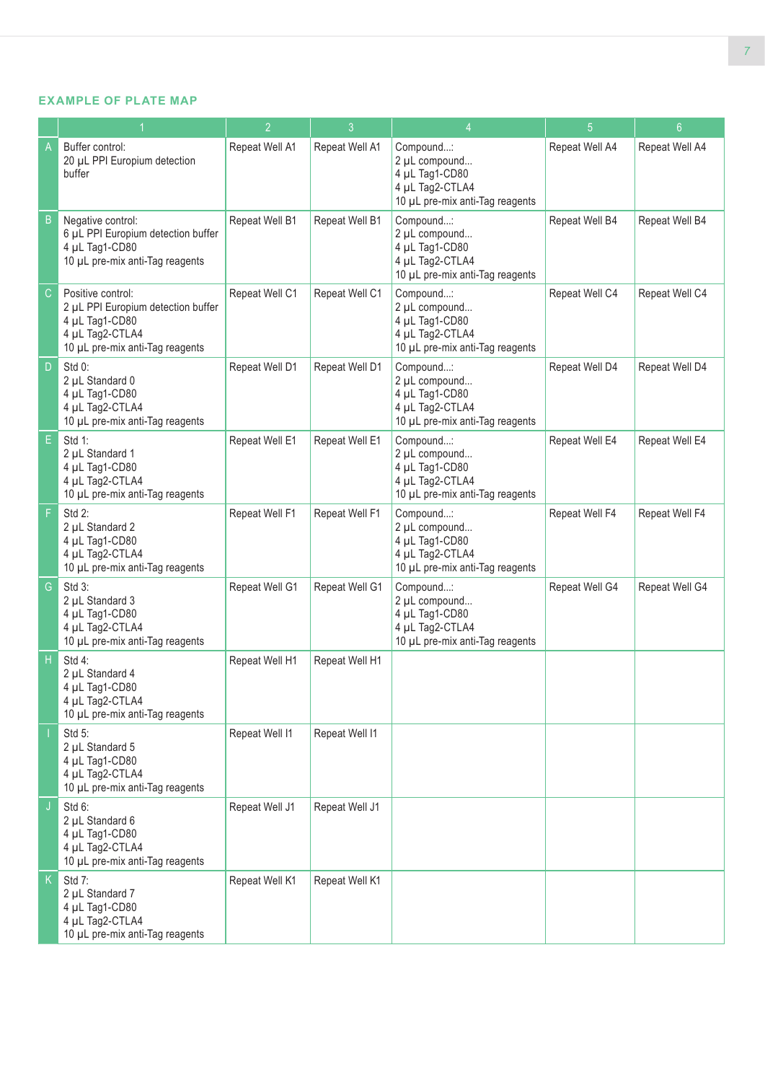## **EXAMPLE OF PLATE MAP**

|               |                                                                                                                                 | $\overline{2}$ | $\mathbf{3}$   | $\overline{4}$                                                                                     | 5              | 6 <sup>°</sup> |
|---------------|---------------------------------------------------------------------------------------------------------------------------------|----------------|----------------|----------------------------------------------------------------------------------------------------|----------------|----------------|
| A             | Buffer control:<br>20 µL PPI Europium detection<br>buffer                                                                       | Repeat Well A1 | Repeat Well A1 | Compound:<br>2 µL compound<br>4 µL Tag1-CD80<br>4 µL Tag2-CTLA4<br>10 µL pre-mix anti-Tag reagents | Repeat Well A4 | Repeat Well A4 |
| B             | Negative control:<br>6 µL PPI Europium detection buffer<br>4 µL Tag1-CD80<br>10 µL pre-mix anti-Tag reagents                    | Repeat Well B1 | Repeat Well B1 | Compound:<br>2 µL compound<br>4 µL Tag1-CD80<br>4 µL Tag2-CTLA4<br>10 µL pre-mix anti-Tag reagents | Repeat Well B4 | Repeat Well B4 |
| $\mathsf{C}$  | Positive control:<br>2 µL PPI Europium detection buffer<br>4 µL Tag1-CD80<br>4 µL Tag2-CTLA4<br>10 µL pre-mix anti-Tag reagents | Repeat Well C1 | Repeat Well C1 | Compound:<br>2 µL compound<br>4 µL Tag1-CD80<br>4 µL Tag2-CTLA4<br>10 µL pre-mix anti-Tag reagents | Repeat Well C4 | Repeat Well C4 |
| D             | $Std 0$ :<br>2 µL Standard 0<br>4 µL Tag1-CD80<br>4 µL Tag2-CTLA4<br>10 µL pre-mix anti-Tag reagents                            | Repeat Well D1 | Repeat Well D1 | Compound:<br>2 µL compound<br>4 µL Tag1-CD80<br>4 µL Tag2-CTLA4<br>10 µL pre-mix anti-Tag reagents | Repeat Well D4 | Repeat Well D4 |
| E             | Std 1:<br>2 µL Standard 1<br>4 µL Tag1-CD80<br>4 µL Tag2-CTLA4<br>10 µL pre-mix anti-Tag reagents                               | Repeat Well E1 | Repeat Well E1 | Compound:<br>2 µL compound<br>4 µL Tag1-CD80<br>4 µL Tag2-CTLA4<br>10 µL pre-mix anti-Tag reagents | Repeat Well E4 | Repeat Well E4 |
| F             | Std 2:<br>2 µL Standard 2<br>4 µL Tag1-CD80<br>4 µL Tag2-CTLA4<br>10 µL pre-mix anti-Tag reagents                               | Repeat Well F1 | Repeat Well F1 | Compound:<br>2 µL compound<br>4 µL Tag1-CD80<br>4 µL Tag2-CTLA4<br>10 µL pre-mix anti-Tag reagents | Repeat Well F4 | Repeat Well F4 |
| ${\mathsf G}$ | Std 3:<br>2 µL Standard 3<br>4 µL Tag1-CD80<br>4 µL Tag2-CTLA4<br>10 µL pre-mix anti-Tag reagents                               | Repeat Well G1 | Repeat Well G1 | Compound:<br>2 µL compound<br>4 µL Tag1-CD80<br>4 µL Tag2-CTLA4<br>10 µL pre-mix anti-Tag reagents | Repeat Well G4 | Repeat Well G4 |
| H             | Std 4:<br>2 µL Standard 4<br>4 µL Tag1-CD80<br>4 µL Tag2-CTLA4<br>10 µL pre-mix anti-Tag reagents                               | Repeat Well H1 | Repeat Well H1 |                                                                                                    |                |                |
|               | Std 5:<br>2 µL Standard 5<br>4 µL Tag1-CD80<br>4 µL Tag2-CTLA4<br>10 µL pre-mix anti-Tag reagents                               | Repeat Well I1 | Repeat Well I1 |                                                                                                    |                |                |
| J             | Std 6:<br>2 µL Standard 6<br>4 µL Tag1-CD80<br>4 µL Tag2-CTLA4<br>10 µL pre-mix anti-Tag reagents                               | Repeat Well J1 | Repeat Well J1 |                                                                                                    |                |                |
| K.            | Std 7:<br>2 µL Standard 7<br>4 µL Tag1-CD80<br>4 µL Tag2-CTLA4<br>10 µL pre-mix anti-Tag reagents                               | Repeat Well K1 | Repeat Well K1 |                                                                                                    |                |                |